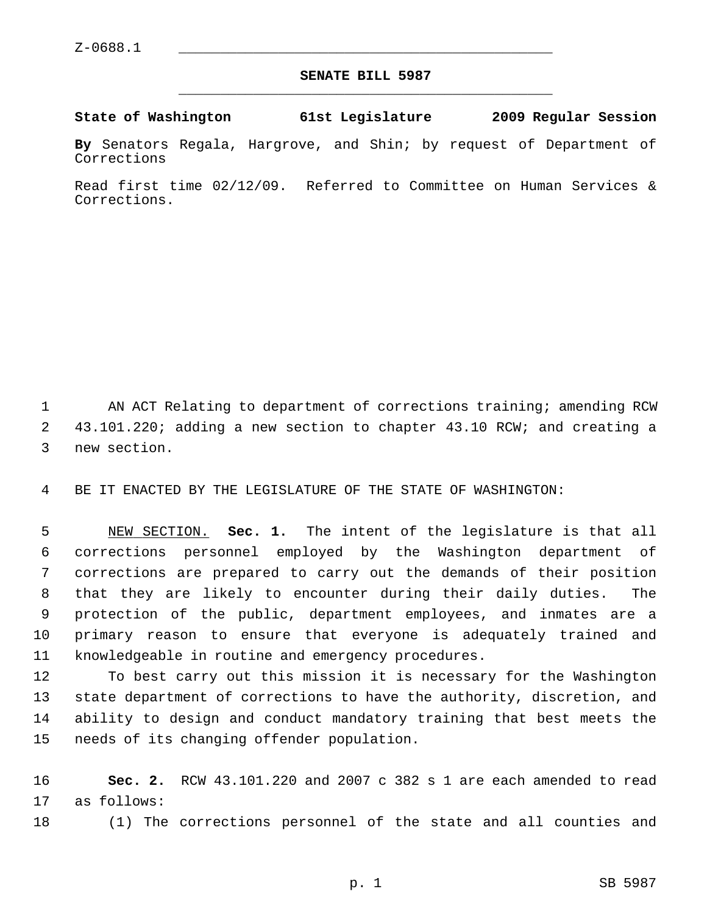## **SENATE BILL 5987** \_\_\_\_\_\_\_\_\_\_\_\_\_\_\_\_\_\_\_\_\_\_\_\_\_\_\_\_\_\_\_\_\_\_\_\_\_\_\_\_\_\_\_\_\_

## **State of Washington 61st Legislature 2009 Regular Session**

**By** Senators Regala, Hargrove, and Shin; by request of Department of Corrections

Read first time 02/12/09. Referred to Committee on Human Services & Corrections.

1 AN ACT Relating to department of corrections training; amending RCW 2 43.101.220; adding a new section to chapter 43.10 RCW; and creating a 3 new section.

4 BE IT ENACTED BY THE LEGISLATURE OF THE STATE OF WASHINGTON:

 5 NEW SECTION. **Sec. 1.** The intent of the legislature is that all 6 corrections personnel employed by the Washington department of 7 corrections are prepared to carry out the demands of their position 8 that they are likely to encounter during their daily duties. The 9 protection of the public, department employees, and inmates are a 10 primary reason to ensure that everyone is adequately trained and 11 knowledgeable in routine and emergency procedures.

12 To best carry out this mission it is necessary for the Washington 13 state department of corrections to have the authority, discretion, and 14 ability to design and conduct mandatory training that best meets the 15 needs of its changing offender population.

16 **Sec. 2.** RCW 43.101.220 and 2007 c 382 s 1 are each amended to read 17 as follows:

18 (1) The corrections personnel of the state and all counties and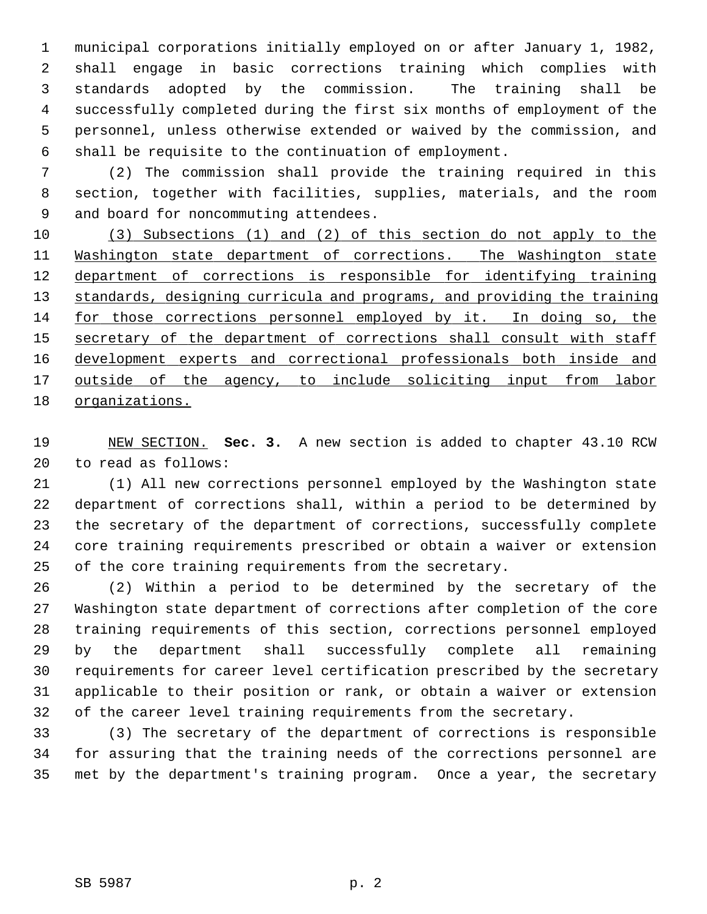1 municipal corporations initially employed on or after January 1, 1982, 2 shall engage in basic corrections training which complies with 3 standards adopted by the commission. The training shall be 4 successfully completed during the first six months of employment of the 5 personnel, unless otherwise extended or waived by the commission, and 6 shall be requisite to the continuation of employment.

 7 (2) The commission shall provide the training required in this 8 section, together with facilities, supplies, materials, and the room 9 and board for noncommuting attendees.

 (3) Subsections (1) and (2) of this section do not apply to the Washington state department of corrections. The Washington state department of corrections is responsible for identifying training 13 standards, designing curricula and programs, and providing the training for those corrections personnel employed by it. In doing so, the secretary of the department of corrections shall consult with staff development experts and correctional professionals both inside and outside of the agency, to include soliciting input from labor organizations.

19 NEW SECTION. **Sec. 3.** A new section is added to chapter 43.10 RCW 20 to read as follows:

21 (1) All new corrections personnel employed by the Washington state 22 department of corrections shall, within a period to be determined by 23 the secretary of the department of corrections, successfully complete 24 core training requirements prescribed or obtain a waiver or extension 25 of the core training requirements from the secretary.

26 (2) Within a period to be determined by the secretary of the 27 Washington state department of corrections after completion of the core 28 training requirements of this section, corrections personnel employed 29 by the department shall successfully complete all remaining 30 requirements for career level certification prescribed by the secretary 31 applicable to their position or rank, or obtain a waiver or extension 32 of the career level training requirements from the secretary.

33 (3) The secretary of the department of corrections is responsible 34 for assuring that the training needs of the corrections personnel are 35 met by the department's training program. Once a year, the secretary